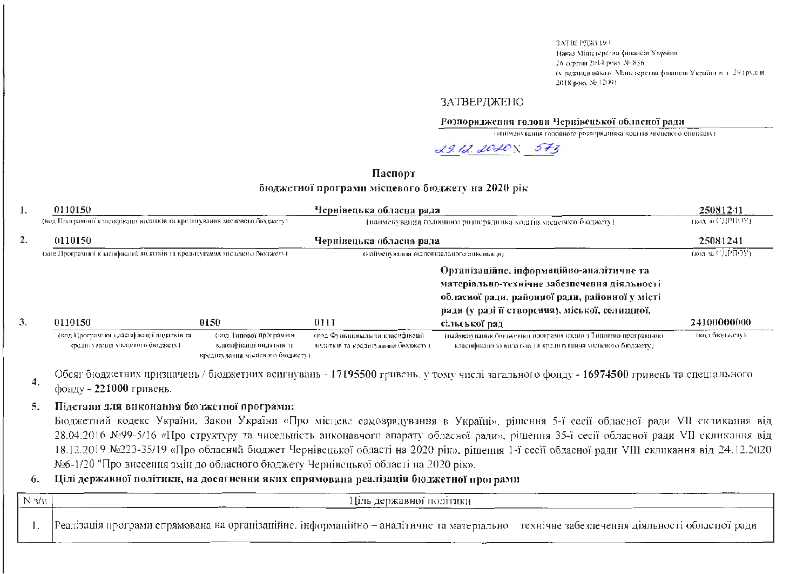ЗАТВЕРЛЖЕНО-Наказ Міністерства фінансів України 26 серпня 2014 року № 836. (у редакци наказу Манстерства фінансів України від. 29 грудня 2018 poky 36 12093.

### **ЗАТВЕРЛЖЕНО**

### Розпорядження голови Чернівецької обласної ради

твайменувания головного розпорядника коштів місцевого бюджету (

 $29.12.2020$   $573$ 

## Паспорт бюджетної програми місцевого бюджету на 2020 рік

| 1. | 0110150                                                                      |                                                                                          | Чернівецька обласна рада                                                |                                                                                                                                             | 25081241                             |
|----|------------------------------------------------------------------------------|------------------------------------------------------------------------------------------|-------------------------------------------------------------------------|---------------------------------------------------------------------------------------------------------------------------------------------|--------------------------------------|
|    | (код Програмної класифікаци видатків та кредитування місцевого бюджету).     |                                                                                          |                                                                         | (найменування головного розпорядника коштів місцевого бюджету).                                                                             | (код агСДРНОУ).                      |
| 2. | 0110150                                                                      |                                                                                          | Чернівецька обласна рада                                                |                                                                                                                                             | 25081241                             |
|    | (код Програмно) класифікації видатків та кредитування місцевого бюджету).    |                                                                                          | тнайменування відповідального виконавця).                               |                                                                                                                                             | $(\text{KOL} \times \text{C/IPHOV})$ |
|    |                                                                              |                                                                                          |                                                                         | Організаційне, інформаційно-аналітичне та<br>матеріально-технічне забезпечення діяльності<br>обласної ради, районної ради, районної у місті |                                      |
| 3. | 0110150                                                                      | 0150                                                                                     | 0111                                                                    | ради (у разі її створення), міської, селишної,<br>сільської рад                                                                             | 24100000000                          |
|    | (код Програмної класифікації видатків та<br>кредитувания місцевого бюджету). | (код Типової програмно).<br>класифікації видатки та-<br>кредитувания місцевого бюджету). | дкод Функціональної класифікації.<br>видаткия та кредитувания бюджету). | (найменувания бюджетної програми згідно з Типовою програмною-<br>класифікацією видатків та кредитування місцевого бюджету).                 | (код бюджету)                        |

Обсяг бюджетних призначень / бюджетних асигнувань - 17195500 гривень, у тому числі загального фонду - 16974500 гривень та спеціального фонду -  $221000$  гривень.

### Підстави для виконання бюджетної програми: 5.

4.

Бюджетний кодекс України, Закон України «Про місцеве самоврядування в Україні», рішення 5-ї сесії обласної ради VII скликання від 28.04.2016 №99-5/16 «Про структуру та чисельність виконавчого апарату обласної ради», рішення 35-ї сесії обласної ради VII скликання від 18.12.2019 №223-35/19 «Про обласний бюджет Чернівецької області на 2020 рік», рішення 1-ї сесії обласної ради VIII скликання від 24.12.2020 №6-1/20 "Про внесення змін до обласного бюджету Чернівецької області на 2020 рік».

### Цілі державної політики, на досягнення яких спрямована реалізація бюджетної програми 6.

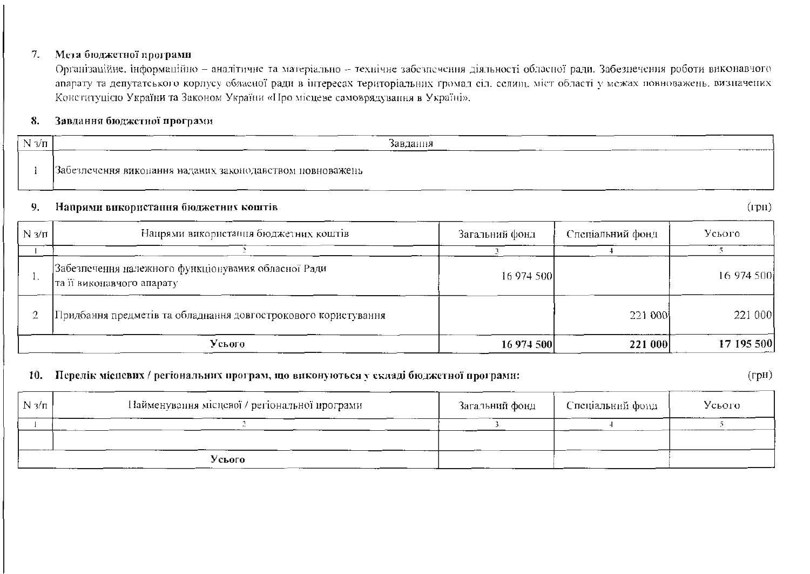### Мета бюджетної програми 7.

Організаційне, інформаційно - аналітичне та матеріально - технічне забезпечення діяльності обласної ради. Забезнечення роботи виконавчого апарату та депутатського корпусу обласної ради в інтересах територіальних громад сіл. селищ, міст області у межах новноважень, визначених Конституцією України та Законом України «Про місцеве самоврядування в Україні».

### 8. Завдання бюджетної програми

| NI<br>3/П | Завдання<br>---------------                                                     |
|-----------|---------------------------------------------------------------------------------|
|           | Забезпечення викопання наданих закоподавством повноважень<br>----<br>---<br>___ |

#### 9. Напрями використання бюджетних коштів

| N $3/\pi$ | Напрями використання бюджетних коштів                                            | Загальний фонд | Спеціальний фонд | Усього     |
|-----------|----------------------------------------------------------------------------------|----------------|------------------|------------|
|           |                                                                                  |                |                  |            |
|           | Забезпечення належного функціонування обласної Ради<br>та її виконавчого апарату | 16 974 500     |                  | 16 974 500 |
|           | Придбання предметів та обладнання довгострокового користування                   |                | 221 000          | 221 000    |
|           | Усього                                                                           | 16 974 500     | 221 000          | 17 195 500 |

## 10. Перелік місцевих / регіональних програм, що виконуються у складі бюджетної програми:

 $(\Gamma$ pH $)$ 

| N $3/\pi$ | Найменування місцевої / регіональної програми | Загальний фонд | Спеціальний фонд | Усього |
|-----------|-----------------------------------------------|----------------|------------------|--------|
|           |                                               |                |                  |        |
|           |                                               |                |                  |        |
|           | Усього<br>--------                            |                |                  |        |

 $(\text{rph})$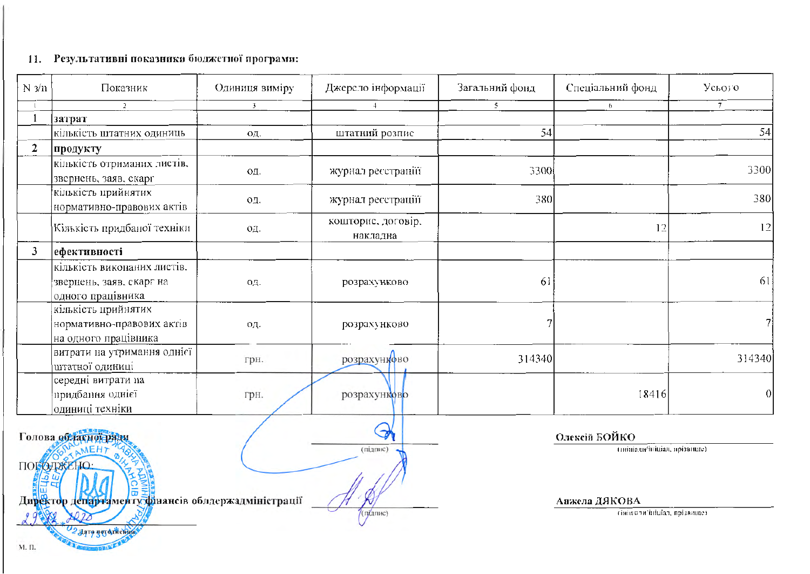# 11. Результативні показники бюджетної програми:

| $N \frac{3}{11}$                                                                                             | Показник                                                                     | Одиниця виміру | Джерело інформації             | Загальний фонд | Спеціальний фонд                              | Усього         |  |
|--------------------------------------------------------------------------------------------------------------|------------------------------------------------------------------------------|----------------|--------------------------------|----------------|-----------------------------------------------|----------------|--|
|                                                                                                              |                                                                              | 3              | $\overline{a}$                 | 5.             | $\mathfrak{h}$                                | $\overline{7}$ |  |
|                                                                                                              | затрат                                                                       |                |                                |                |                                               |                |  |
|                                                                                                              | кількість штатних одиниць                                                    | ΟД.            | штатний розпис                 | 54             |                                               | 54             |  |
| $\overline{2}$                                                                                               | продукту                                                                     |                |                                |                |                                               |                |  |
|                                                                                                              | кількість отриманих листів.<br>звернень, заяв, скарг                         | ΟД.            | журнал ресстрації              | 3300           |                                               | 3300           |  |
|                                                                                                              | кількість прийнятих<br>нормативно-правових актів                             | 0Д.            | журнал ресстраціїї             | 380            |                                               | 380            |  |
|                                                                                                              | Кількість придбаної техніки                                                  | OД.            | кошторис, договір,<br>накладна |                | 12                                            | 12             |  |
| $\mathbf{3}$                                                                                                 | ефективності                                                                 |                |                                |                |                                               |                |  |
|                                                                                                              | кількість виконаних листів.<br>звернень, заяв. скарг на<br>одного працівника | ΟД.            | розрахунково                   | 61             |                                               | 61             |  |
|                                                                                                              | кількість прийнятих<br>нормативно-правових актів<br>на одного працівника     | 0Д.            | розрахунково                   |                |                                               |                |  |
|                                                                                                              | витрати на утримання однієї<br>штатної одиниці                               | грн.           | розрахунково                   | 314340         |                                               | 314340         |  |
|                                                                                                              | середні витрати на<br>придбання однієї<br>одиниці техніки                    | грн.           | розрахунково                   |                | 18416                                         | 0              |  |
|                                                                                                              | Голова обласної ради<br>TAMEHT<br>ПОГОДЖЕНО:                                 |                | (підпис)                       |                | Олексій БОЙКО<br>(пипнали/ініціал, прізвище). |                |  |
| Директор департаменту фінансів обласржадміністрації<br>$(n \lambda n \mu c)$<br>2 Aqre goy du kemin<br>М. П. |                                                                              |                |                                |                | Анжела ДЯКОВА<br>(ініціали'ініціал, прізвище) |                |  |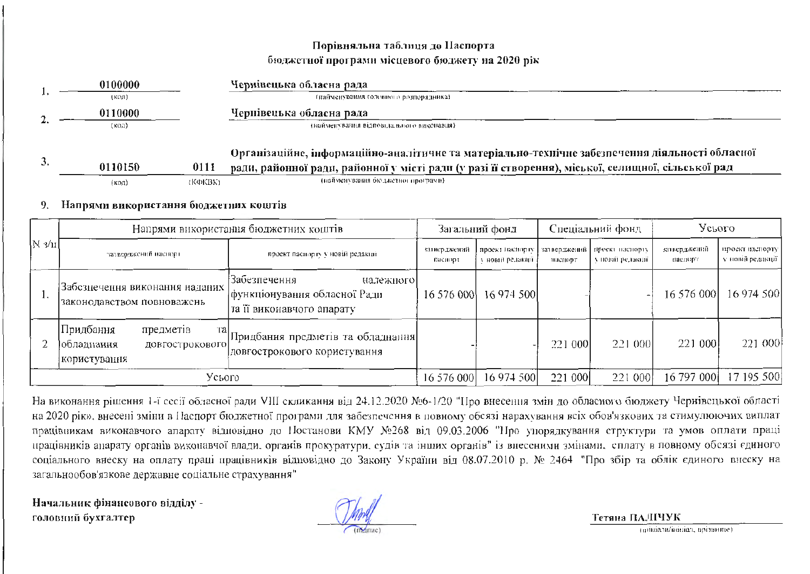# Порівняльна таблиця до Наспорта бюджетної програми місцевого бюджету на 2020 рік

|    | 0100000          | Чернівецька обласна рада                                                                           |
|----|------------------|----------------------------------------------------------------------------------------------------|
|    | (кол)            | - (найменувания головного розпорядника)                                                            |
|    | 0110000          | Чернівецька обласна рада                                                                           |
|    | (код)            | (найменування відповідального виконавця).                                                          |
|    |                  | Організаційне, інформаційно-аналітичне та матеріально-технічне забезпечення діяльності обласної    |
| 3. | 0110150<br>0111  | ради, районної ради, районної у місті ради (у разі її створення), міської, селищної, сільської рад |
|    | (KOKBK)<br>íкoл) | (найменування бюджетног програми).                                                                 |

### Напрями використання бюджетних коштів  $9.1$

|           | Напрями використання бюджетних коштів                                                    |                                                                                           | Загальний фонд          |                                      | Спеціальний фонд        |                                       | Усього                  |                                     |
|-----------|------------------------------------------------------------------------------------------|-------------------------------------------------------------------------------------------|-------------------------|--------------------------------------|-------------------------|---------------------------------------|-------------------------|-------------------------------------|
| $ N_3/n $ | затверджений наспорт                                                                     | проект паснорту у новій редакції                                                          | затверджений<br>паснорт | проект наспорту<br>у новий редакції. | затверджений<br>наспорт | проект наспорту<br>у повій редакції - | затверджений<br>наспорт | проект наспорту<br>у новій редакції |
|           | Забезпечення виконання наданих<br>законодавством повноважень                             | :Забезпечення<br>належного<br> функціонування обласної Ради-<br>та її виконавчого апарату | 16 576 000              | 16 974 500                           |                         |                                       | 16 576 000              | 16 974 500                          |
|           | Придбання <br>предметів<br>Tal<br><u>  обладнання</u><br>ДОВГОСТРОКОВОГО<br>користування | Придбання предметів та обладнання]<br>довгострокового користування                        |                         |                                      | 221 000                 | 221 000                               | 221 000                 | 221 000                             |
|           | Усього                                                                                   |                                                                                           | 16 576 000              | 16 974 500                           | 221 000                 | 221 000                               | 16 797 000              | 17 195 500                          |

На виконання рішення 1-ї сесії обласної ради VIII скликання від 24.12.2020 №6-1/20 "Про внесення змін до обласного бюджету Чернівсцької області на 2020 рік», внесені зміни в Паспорт бюджетної програми для забезпечення в повному обсязі нарахування всіх обов'язкових та стимулюючих виплат працівникам виконавчого апарату відновідно до Ностанови КМУ №268 від 09.03.2006 "Нро упорядкування структури та умов оплати праці працівників апарату органів викопавчої влади, органів прокуратури, судів та інших органів" із внесеними змінами, сплату в повному обсязі єдиного соціального внеску на оплату праці працівників відповідно до Закону України від 08.07.2010 р. № 2464 "Про збір та облік єдиного внеску на загальнообов'язкове державне соціальне страхування"

Начальник фінансового відділу головний бухгалтер

Тетяна ПАЛІЧУК

(пиніали/інініал, прізвище).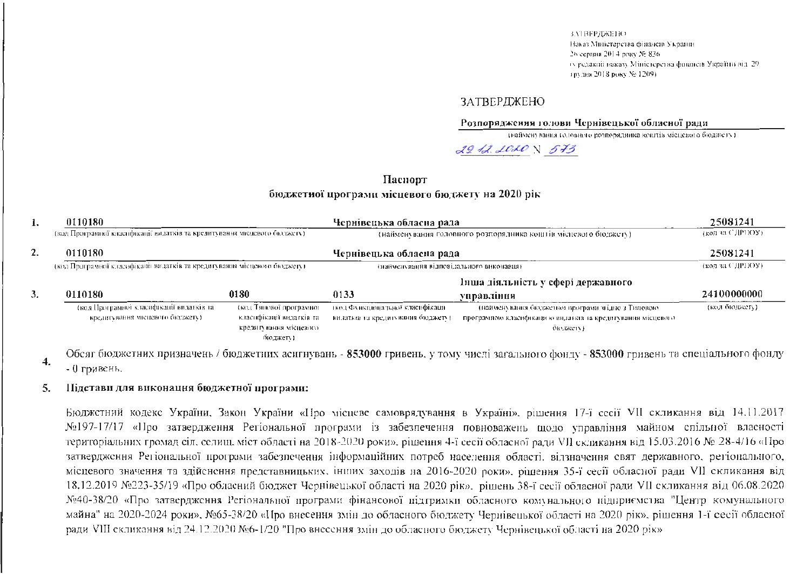**SATBEPIEKEHO** Наказ Минстерства фінансів Украини 26 серпня 2014 року № 836. гуредакий наказу Міністерства финисти Україтил від 29 трудня 2018 року № 1209).

### ЗАТВЕРДЖЕНО

### Розпорядження голови Чернівецької обласної ради

(найменування головного розпорядника коштів місцевого бюджету).

29.12.2020 N 573

## Паснорт бюджетної програми місцевого бюджету на 2020 рік

| 0110180<br>1. |                                                                              |                                                                                           | Чернівецька обласна рада                                               |                                                                                                                                | 25081241           |
|---------------|------------------------------------------------------------------------------|-------------------------------------------------------------------------------------------|------------------------------------------------------------------------|--------------------------------------------------------------------------------------------------------------------------------|--------------------|
|               | (код Програмної класифікації видатків та кредитування місцевого бюджету).    |                                                                                           |                                                                        | (найменування головного розпорядника коштів місцевого бюджету).                                                                | $($ код за СДРПОУ) |
| 2.            | 0110180                                                                      |                                                                                           | Чернівецька обласна рада                                               |                                                                                                                                | 25081241           |
|               | (код Програмної класифікації видатків та кредигування місцевого бюджету).    |                                                                                           | (найменувания відповідального виконавця)                               |                                                                                                                                | (код за СДРПОУ).   |
|               |                                                                              |                                                                                           |                                                                        | Інша діяльність у сфері державного                                                                                             |                    |
| 3.            | 0110180                                                                      | 0180                                                                                      | 0133                                                                   | управління                                                                                                                     | 24100000000        |
|               | (код Програмної класифікації видатків та-<br>кредитування місцевого бюджету) | (код Типової програмної<br>класифікації видатків та<br>кредитування місцевого<br>бюджету) | ткод Функциональної класифікаци-<br>видаткия за кредитування бюджету). | тнайменувания бюджетног програми згідно з Типовою-<br>програмною класификацию видаткив та кредитувания місцевого-<br>бюджету). | (кол бюджету).     |

Обсяг бюджетних призначень / бюджетних асигнувань - 853000 гривень, у тому числі загального фонду - 853000 гривень та спеціального фонду 4. - 0 гривень.

#### Підстави для виконация бюджетної програми: 5.

Бюджстний кодекс України, Закон України «Про місцеве самоврядування в Україні», рішення 17-ї сесії VII скликання від 14.11.2017 №197-17/17 «Про затвердження Регіональної програми із забезпечення повноважень щодо управління майном спільної власності територіальних громад сіл, селищ, міст області на 2018-2020 роки», рішення 4-ї сесії обласної ради VII скликання від 15.03.2016 № 28-4/16 «Про затвердження Регіональної програми забезпечення інформаційних потреб населення області, відзначення свят державного, регіонального, місцевого значення та здійснення представницьких, інших заходів на 2016-2020 роки», рішення 35-ї сесії обласної ради VII скликання від 18.12.2019 №223-35/19 «Про обласний бюджет Чернівецької області на 2020 рік», рішень 38-ї сесії обласної ради VII скликання від 06.08.2020 №40-38/20 «Про затвердження Регіональної програми фінансової підтримки обласного комунального підприємства "Центр комунального майна" на 2020-2024 роки», №65-38/20 «Про внесення змін до обласного бюджету Чернівецької області на 2020 рік», рішення 1-ї сесії обласної ради VIII скликання від 24.12.2020 №6-1/20 "Про внесення змін до обласного бюджету Чернівецької області на 2020 рік»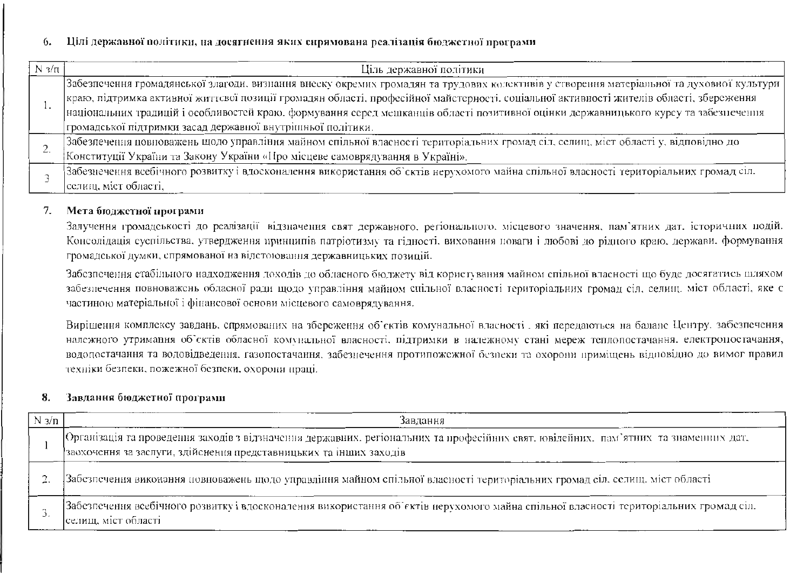### Цілі державної політики, на досягнення яких сирямована реалізація бюджетної програми 6.

| N $3/\pi$ | Ціль державної політики                                                                                                                                                                                                                                                                                                                                                                                                                                                                     |
|-----------|---------------------------------------------------------------------------------------------------------------------------------------------------------------------------------------------------------------------------------------------------------------------------------------------------------------------------------------------------------------------------------------------------------------------------------------------------------------------------------------------|
|           | Забезпечення громадянської злагоди, визнання внеску окремих громадян та трудових колективів у створення матеріальної та духовної культури<br>краю, підтримка активної життєвої позиції громадян області, професійної майстерності, соціальної активності жителів області, збереження<br>національних традицій і особливостей краю. формування серед мешканців області позитивної оцінки державницького курсу та забезпечення<br>тромадської підтримки засад державної внутрішньої політики. |
|           | Забезпечения повноважень щодо управління майном спільної власності територіальних громад сіл, селищ, міст області у, відповідно до<br>Конституції України та Закону України «Про місцеве самоврядування в Україні».                                                                                                                                                                                                                                                                         |
|           | Забезнечення всебічного розвитку і вдосконалення використання об`сктів нерухомого майна спільної власності територіальних громад сіл.<br>селищ, міст області,                                                                                                                                                                                                                                                                                                                               |

### $7.$ Мета бюджетної програми

Залучення громадськості до реалізації відзначення свят державного, регіонального, місцевого значення, пам'ятних дат. історичних подій. Консолідація суспільства, утвердження принципів патріотизму та гідності, виховання поваги і любові до рідного краю, держави, формування громадської думки, спрямованої на вілстоювання державницьких позицій.

Забезпечення стабільного надходження доходів до обласного бюджету від користування майном спільної власності що буде досягатись шляхом забезнечення повноважень обласної ради щодо управління майном спільної власності територіальних громад сіл, селищ, міст області, яке с частиною матеріальної і фінансової основи місцевого самоврядування.

Вирішення комплексу завдань, спрямованих на збереження об'єктів комунальної власності, які передаються на баланс Центру, забезпечення належного утримання об'єктів обласної комунальної власності, підтримки в належному стані мереж теплопостачання, електропостачання, водопостачання та водовідведения, газопостачання, забезнечення протипожсжної безпеки та охорони приміщень відповідно до вимог правил техніки безпеки, пожежної безпеки, охорони праці.

### 8. Завдання бюджетної програми

| $N_3/n$ | Завдання                                                                                                                                                                                                  |
|---------|-----------------------------------------------------------------------------------------------------------------------------------------------------------------------------------------------------------|
|         | Організація та проведення заходів з відзначення державних, регіональних та професійних свят, ювілейних, пам'ятних та знаменних дат,<br>заохочення за заслуги, здійснення представницьких та інших заходів |
|         | Забезпечення виконання повноважень щодо управління майном спільної власності територіальних громад сіл. селищ. міст області                                                                               |
|         | Забезпечения всебічного розвитку і вдосконалення використання об'єктів нерухомого майна спільної власності територіальних громад сіл.<br>селищ, міст області                                              |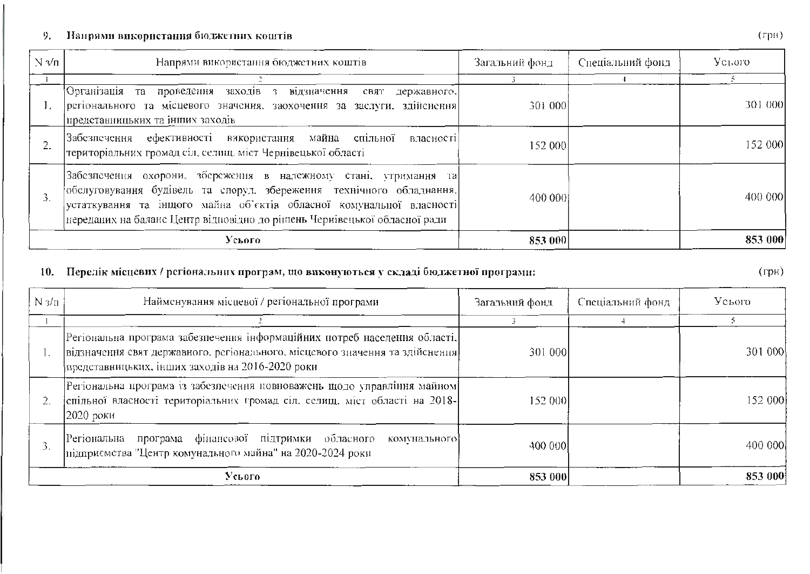#### Напрями використання бюджетних коштів 9.

| $N_3/n$ | Напрями використання бюджетних коштів                                                                                                                                                                                                                                                          | Загальний фонд | Спеціальний фонд | Усього  |
|---------|------------------------------------------------------------------------------------------------------------------------------------------------------------------------------------------------------------------------------------------------------------------------------------------------|----------------|------------------|---------|
|         |                                                                                                                                                                                                                                                                                                |                |                  |         |
|         | Організація та проведення заходів з<br>відзначення свят<br>державного,<br>регіонального та місцевого значення, заохочення за заслуги, здійснення<br>представницьких та інших заходів                                                                                                           | 301 000        |                  | 301 000 |
|         | Забезпечення ефективності використання майна спільної<br>власності<br>територіальних громад сіл, селищ, міст Чернівецької області                                                                                                                                                              | 152 000        |                  | 152 000 |
| 3.      | Забезпечення охорони, зберсження в належному стані, утримання та <br>обслуговування будівель та споруд. збереження технічного обладнання.<br>устаткування та інщого майна об'єктів обласної комунальної власності<br>переданих на баланс Центр відновідно до рішень Чернівецької обласної ради | 400 000        |                  | 400 000 |
|         | Усього                                                                                                                                                                                                                                                                                         | 853 000        |                  | 853 000 |

### Перелік місцевих / регіональних програм, що виконуються у складі бюджетної програми: 10.

Найменування місцевої / регіональної програми Спеціальний фонд Усього  $N_3/\pi$ Загальний фонд ╦  $\overline{\mathcal{R}}$  $\mathbf{1}$  $\overline{4}$ |<br>|Регіональна програма забезпечення інформаційних потреб населення області, відзначення свят державного, регіонального, місцевого значення та здійснення 301 000 301 000  $\mathbf{1}$ . представницьких, інших заходів на 2016-2020 роки Регіональна програма із забезпечення повноважень щодо управління майном спільної власності територіальних громад сіл, селищ, міст області на 2018-152 000 152 000  $\overline{2}$ . 2020 роки Регіональна програма фінансової підтримки обласного комунального  $\overline{3}$ . 400 000 400 000 підприємства "Центр комунального майна" на 2020-2024 роки Усього 853 000 853 000

 $(\Gamma)$ <sup>H</sup>)

 $(\Gamma$ p $\overline{H})$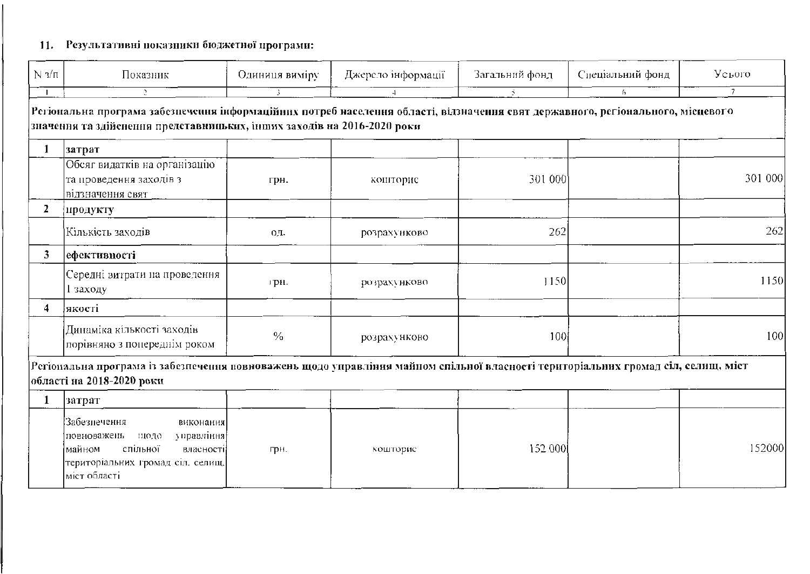# 11. Результативні показники бюджетної програми:

| $N_3/\pi$      | Показник                                                                                                                                                                                                   | Одиниця виміру | Джерело інформації | Загальний фонд      | Спеціальний фонд | Усього          |
|----------------|------------------------------------------------------------------------------------------------------------------------------------------------------------------------------------------------------------|----------------|--------------------|---------------------|------------------|-----------------|
| $\mathbf{I}$   | P.                                                                                                                                                                                                         | -3             |                    | $\bar{\mathcal{D}}$ | $f_{\lambda}$    | $7\overline{ }$ |
|                | Регіональна програма забезпечення інформаційних потреб населення області, відзначення свят державного, регіонального, місцевого<br>значення та здійснення представницьких, інших заходів на 2016-2020 роки |                |                    |                     |                  |                 |
|                | затрат                                                                                                                                                                                                     |                |                    |                     |                  |                 |
|                | Обсяг видатків на організацію<br>та проведення заходів з<br>відзначення свят                                                                                                                               | грн.           | кошторис           | 301 000             |                  | 301 000         |
| $\overline{2}$ | продукту                                                                                                                                                                                                   |                |                    |                     |                  |                 |
|                | Кількість заходів                                                                                                                                                                                          | 0Д.            | розрахунково       | 262                 |                  | 262             |
| 3              | ефективності                                                                                                                                                                                               |                |                    |                     |                  |                 |
|                | Середні витрати на проведення<br>l заходу                                                                                                                                                                  | грн.           | розрахунково       | 1150                |                  | 1150            |
| $\overline{4}$ | якості                                                                                                                                                                                                     |                |                    |                     |                  |                 |
|                | Динаміка кількості заходів<br>порівняно з попереднім роком                                                                                                                                                 | $\frac{0}{0}$  | розрахунково       | 100                 |                  | 100             |
|                | Регіональна програма із забезпечення повноважень щодо управління майном спільної власності територіальних громад сіл, селищ, міст<br>області на 2018-2020 роки                                             |                |                    |                     |                  |                 |
| $\mathbf{1}$   | затрат                                                                                                                                                                                                     |                |                    |                     |                  |                 |
|                | Забезпечення<br>виконання<br>управління<br>повноважень<br>щодо<br>спільної<br>майном<br>власності<br>територіальних громад сіл. селищ.<br>міст області                                                     | грн.           | кошторие           | 152 000             |                  | 152000          |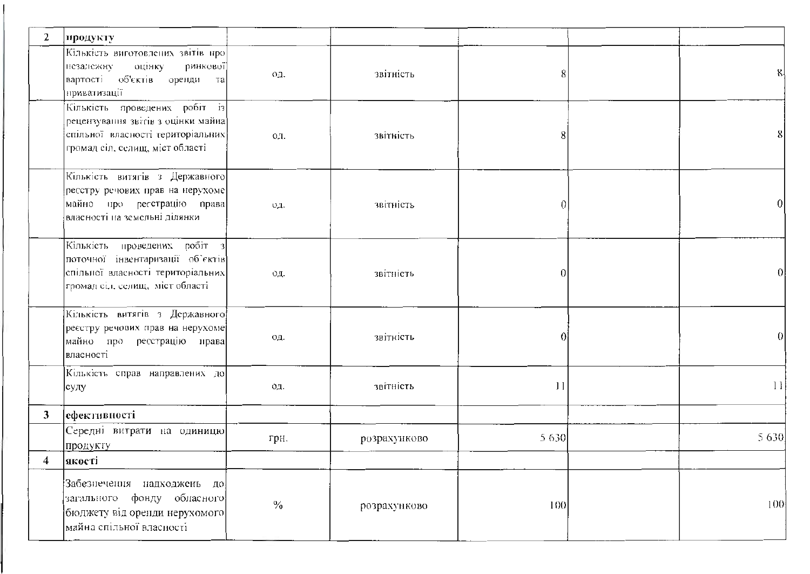| $\mathbf{2}$   | продукту                                                                                                                                    |      |              |          |                  |
|----------------|---------------------------------------------------------------------------------------------------------------------------------------------|------|--------------|----------|------------------|
|                | Кількість виготовлених звітів про<br>оцінку<br>ринкової]<br>незалежну<br>вартості об'єктів оренди<br>Ta<br>приватизації                     | oд.  | звітність    | 8        | 8                |
|                | Кількість проведених робіт із<br>рецензування звітів з оцінки майна<br>спільної власності територіальних<br>громад сіл, селищ, міст області | OA.  | звітність    | 8        | 8                |
|                | Кількість витягів з Державного<br>ресстру речових прав на нерухоме<br>майно про ресстрацію права<br>власності на земсльні ділянки           | OД.  | звітність    | $\theta$ |                  |
|                | Кількість проведених робіт з<br>поточної інвентаризації об'єктів<br>спільної власності територіальних<br>громад сіл. селищ, міст області    | OД.  | звітність    | $\Omega$ | 0                |
|                | Кількість витягів з Державного<br>реєстру речових прав на нерухоме<br>майно про ресстрацію права<br>власності                               | ΟД.  | звітність    | 0        | 0                |
|                | Кількість справ направлених до<br> суду                                                                                                     | 0Д.  | звітність    | 11       | 11               |
| 3              | ефективності                                                                                                                                |      |              |          |                  |
|                | Середні витрати на одиницю<br>продукту                                                                                                      | грн. | розрахунково | 5 6 3 0  | 5 6 3 0          |
| 4 <sup>1</sup> | якості                                                                                                                                      |      |              |          |                  |
|                | Забезнечения надходжень до<br>загального фонду обласного<br>бюджету від оренди нерухомого<br>майна спільної власності                       | $\%$ | розрахунково | 100      | 100 <sub>1</sub> |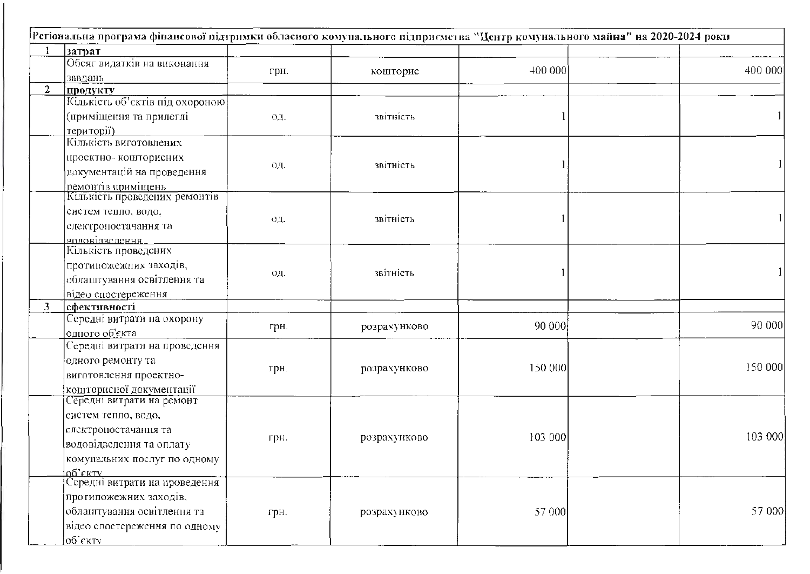|   | Регіональна програма фінансової підтримки обласного комунального підприємства "Центр комунального майна" на 2020-2024 роки |      |              |         |         |
|---|----------------------------------------------------------------------------------------------------------------------------|------|--------------|---------|---------|
|   | затрат                                                                                                                     |      |              |         |         |
|   | Обсяг видатків на виконання                                                                                                |      |              |         | 400 000 |
|   | завдань                                                                                                                    | грн. | кошторис     | 400 000 |         |
| 2 | продукту                                                                                                                   |      |              |         |         |
|   | Кількість об'єктів під охороною                                                                                            |      |              |         |         |
|   | (приміщення та прилеглі                                                                                                    | OД.  | звітність    |         |         |
|   | території)                                                                                                                 |      |              |         |         |
|   | Кількість виготовлених                                                                                                     |      |              |         |         |
|   | проектно- кошторисних                                                                                                      |      |              |         |         |
|   | документацій на проведення                                                                                                 | ΟД.  | звітність    |         |         |
|   | ремонтів приміщень                                                                                                         |      |              |         |         |
|   | Кількість проведених ремонтів                                                                                              |      |              |         |         |
|   | систем тепло, водо,                                                                                                        |      |              |         |         |
|   |                                                                                                                            | ΟД.  | звітність    |         |         |
|   | слектроностачання та                                                                                                       |      |              |         |         |
|   | <u>воловілвелення</u><br>Кількість проведених                                                                              |      |              |         |         |
|   |                                                                                                                            |      |              |         |         |
|   | протиножежних заходів,                                                                                                     | 0Д.  | звітність    |         |         |
|   | облаштування освітлення та                                                                                                 |      |              |         |         |
|   | відео спостереження                                                                                                        |      |              |         |         |
| 3 | <b>ефективності</b>                                                                                                        |      |              |         |         |
|   | Середні витрати на охорону                                                                                                 | грн. | розрахунково | 90 000  | 90 000  |
|   | одного об'єкта                                                                                                             |      |              |         |         |
|   | Середні витрати на проведсння                                                                                              |      |              |         |         |
|   | одного ремонту та                                                                                                          | грн. | розрахунково | 150 000 | 150 000 |
|   | виготовлення проектно-                                                                                                     |      |              |         |         |
|   | кошторисної документації                                                                                                   |      |              |         |         |
|   | Середні витрати на ремонт                                                                                                  |      |              |         |         |
|   | систем тепло, водо,                                                                                                        |      |              |         |         |
|   | електроностачания та                                                                                                       |      |              |         |         |
|   | водовідведення та оплату                                                                                                   | грн. | розрахунково | 103 000 | 103 000 |
|   | комунальних послуг по одному                                                                                               |      |              |         |         |
|   | oq, ekim                                                                                                                   |      |              |         |         |
|   | Середні витрати на проведення                                                                                              |      |              |         |         |
|   | протипожежних заходів.                                                                                                     |      |              |         |         |
|   | облантування освітлення та                                                                                                 | грн. | розрахунково | 57 000  | 57 000  |
|   | відео спостереження по одному                                                                                              |      |              |         |         |
|   |                                                                                                                            |      |              |         |         |
|   | <u>об'єкту</u>                                                                                                             |      |              |         |         |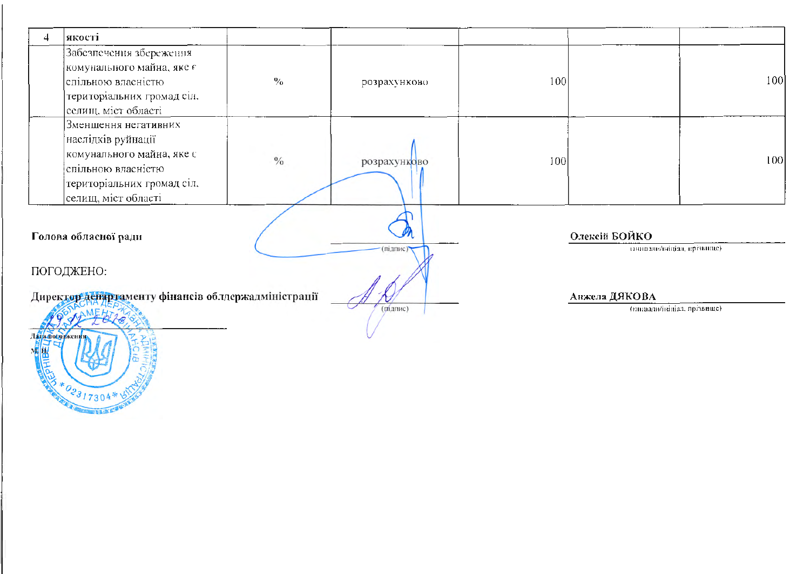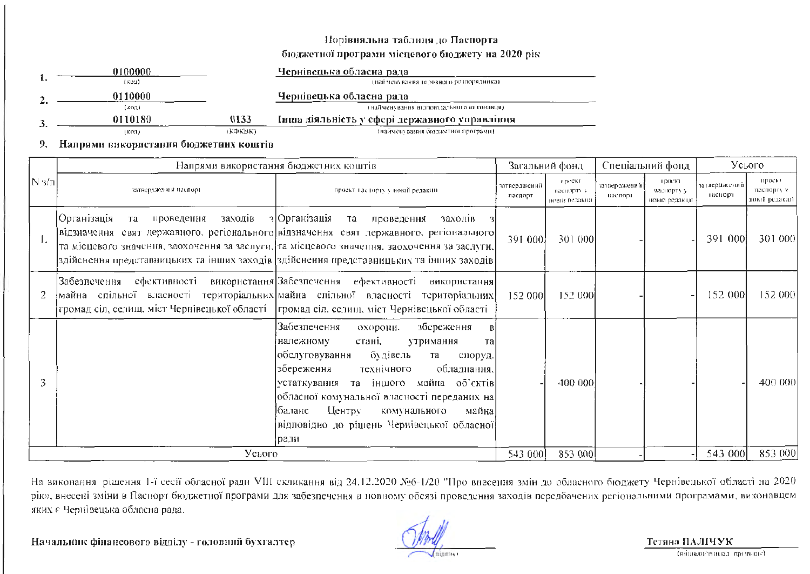### Порівняльна таблиця до Паспорта

### бюджетної програми місцевого бюджету на 2020 рік

| 0100000 |         | Чернівецька обласна рада                      |
|---------|---------|-----------------------------------------------|
| (код)   |         | (вайменувания гозовного розпорядника).        |
| 0110000 |         | Чернівецька обласна рада                      |
| (көд)   |         | (найменування відповідального виконавця)      |
| 0110180 | 0133    | Інша діяльність у сфері державного управління |
| (код)   | (КФКВК) | (найменувания бюджетної програми).            |

#### 9. Напрями використання бюджетних коштів

| $ N \frac{3}{\Pi} $ |                                                                                             | Напрями використання бюджетних коштів                                                                                                                                                                                                                                                                                                                                               |                         |                                       | Спеціальний фонд        |                                        | Усього                  |                                        |
|---------------------|---------------------------------------------------------------------------------------------|-------------------------------------------------------------------------------------------------------------------------------------------------------------------------------------------------------------------------------------------------------------------------------------------------------------------------------------------------------------------------------------|-------------------------|---------------------------------------|-------------------------|----------------------------------------|-------------------------|----------------------------------------|
|                     | затверджений паспорт                                                                        | проект паснорту у новій редакції                                                                                                                                                                                                                                                                                                                                                    | затверджений<br>паспорт | проект<br>насиорту у<br>новий редакци | затверджений<br>паспорт | проски<br>паснорту у<br>новій редакції | затверджений<br>паснорт | проект<br>пасноргу у<br>повий редакци- |
|                     | Організація <br>заходів<br>проведения<br>та                                                 | з Організація<br>та проведення<br>заходив<br> відзначення свят державного, регіонального відзначення свят державного, регіонального <br>та місцевого значения, заохочення за заслуги, та місцевого значення, заохочення за заслуги,<br>здійснення представницьких та інших заходів здійснення представницьких та інших заходів                                                      | 391 000                 | 301 000                               |                         |                                        | 391 000                 | 301 000                                |
|                     | громад сіл, селищ, міст Чернівецької області   громад сіл. селищ, міст Чернівецької області | Забезпечення ефективності використання Забезпечення ефективності використання<br>майна спільної власності територіальних майна спільної власності територіальних                                                                                                                                                                                                                    | 152 000                 | 152 000                               |                         |                                        | 152 000                 | 152 000                                |
|                     |                                                                                             | Забезпечення<br>збереження<br>охорони,<br>стані,<br>належному<br>утримання<br><b>Tal</b><br>обслуговування<br>будівель<br>та<br>споруд.<br>збереження<br>обладнання.<br>технічного<br>[устаткувания та іншого майна об'єктів]<br> обласної комунальної власності переданих на <br>Центру<br>Јбаланс<br>комунального<br>майна<br>відповідно до рішень Чернівецької обласної<br> ради |                         | 400 000                               |                         |                                        |                         | 400 000                                |
|                     | Усього                                                                                      |                                                                                                                                                                                                                                                                                                                                                                                     | 543 000                 | 853 000                               |                         |                                        | 543 000                 | 853 000                                |

На виконання рішення 1-ї сесії обласної ради VIII скликання від 24.12.2020 №6-1/20 "Про внесення змін до обласного бюджету Чернівецької області на 2020 рію», внесеці зміни в Паспорт бюджетної програми для забезпечення в новному обсязі проведення заходів передбачених регіональними програмами, виконавцем яких є Чернівецька обласна рада.

Начальник фінансового відділу - головний бухгалтер

підпис)

Тетяна ПАЛІЧУК (инпланительная признате)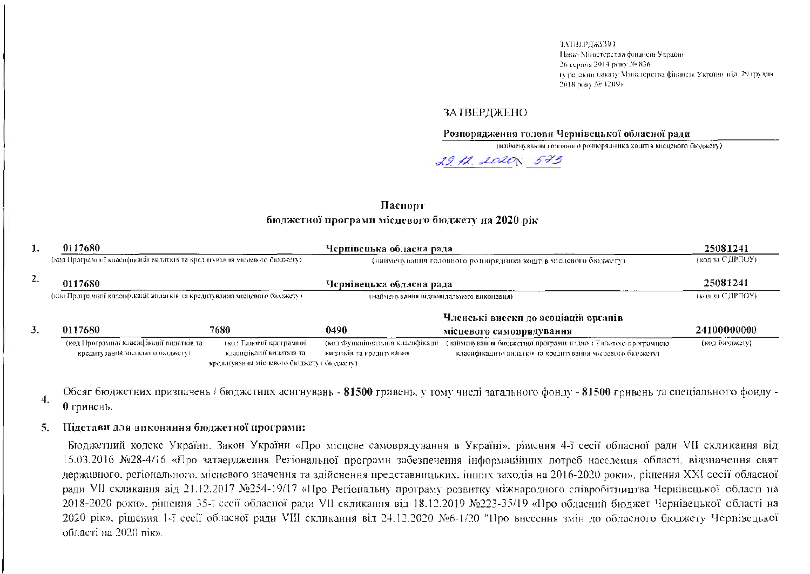ЗАТВЕРЛЖЕНО-Паказ Міністерства финансів України 26 серпня 2014 року № 836. (у редакин наказу Минстерства финансия України від. 29 грудня 2018 poky Ne 1209).

### **ЗАТВЕРДЖЕНО**

Розпоряджения голови Чернівецької обласної ради

(найменування головного розпорядника коштів місцевого бюджету).

29.12.2020 573

### Паснорт бюджетної програми місцевого бюджету на 2020 рік

| ı.                                                                        | 0117680                                                                       |                                                                                                  | Чернівецька обласна рада                                     |                                                                                                                            | 25081241        |
|---------------------------------------------------------------------------|-------------------------------------------------------------------------------|--------------------------------------------------------------------------------------------------|--------------------------------------------------------------|----------------------------------------------------------------------------------------------------------------------------|-----------------|
| (код Програмної класифікації видатків та кредитування місцевого бюджету). |                                                                               |                                                                                                  |                                                              | (найменувания головного розпорядника коштів місцевого бюджету).                                                            | (код за СДРПОУ) |
| 2.<br>0117680                                                             |                                                                               |                                                                                                  | Чернівецька обласна рада                                     |                                                                                                                            | 25081241        |
| (код Програмної класифікації видатків та кредитування місцевого бюджету). |                                                                               |                                                                                                  | (найменувания відповідального викопавця)                     | (код за СДРПОУ)                                                                                                            |                 |
|                                                                           |                                                                               |                                                                                                  |                                                              | Членські внески до асоціацій органів                                                                                       |                 |
| 3.                                                                        | 0117680                                                                       | 7680                                                                                             | 0490                                                         | місцевого самоврядування                                                                                                   | 24100000000     |
|                                                                           | (код Програмної класифікації видатків та-<br>кредитування місцевого бюджету). | (кол Тилової програмної<br>класифікації видатків та<br>кредитувания місцевого бюджету) бюджету). | (код Функціональної класифікації<br>видатків та кредитування | (найменування бюджетної програми згідно з Типовою програмною<br>класифікацією видатків та кредитування місцевого бюджету). | (код бюджету)   |

Обсяг бюджетних призначень / бюджетних асигнувань - 81500 гривень, у тому числі загального фонду - 81500 гривень та спеціального фонду -4. 0 гривень.

### Підстави для виконання бюджетної програми: 5.

Бюджетний кодекс України. Закон України «Про місцеве самоврядування в Україні», рішення 4-ї сесії обласної ради VII скликання від 15.03.2016 №28-4/16 «Про затвердження Регіональної програми забезпечення інформаційних потреб населення області, відзначення свят державного, регіонального, місцевого значення та здійснення представницьких, інших заходів на 2016-2020 роки», ріцення XXI сесії обласної ради VII скликания від 21.12.2017 №254-19/17 «Про Регіональну програму розвитку міжнародного співробітництва Чернівецької області на 2018-2020 роки», рішення 35-ї сесії обласної ради VII скликання від 18.12.2019 №223-35/19 «Про обласний бюджет Чернівецької області на 2020 рік», рішення 1-ї сесії обласної ради VIII скликання від 24.12.2020 №6-1/20 "Про внесення змін до обласного бюджету Чернівецької області на 2020 пік».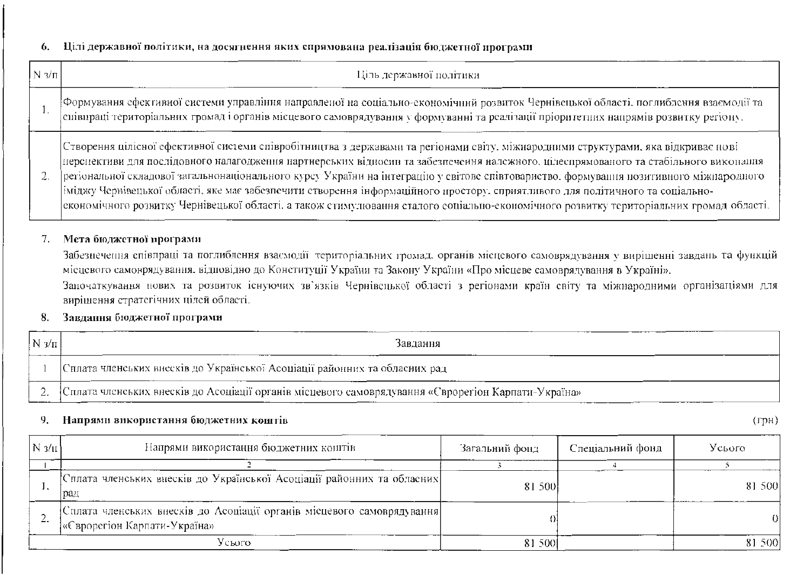### Цілі державної політики, на досягнення яких спрямована реалізація бюджетної програми 6.

| $N_3/\pi$ | Ціль державної політики                                                                                                                                                                                                                                                                                                                                                                                                                                                                                                                                                                                                                                                                           |
|-----------|---------------------------------------------------------------------------------------------------------------------------------------------------------------------------------------------------------------------------------------------------------------------------------------------------------------------------------------------------------------------------------------------------------------------------------------------------------------------------------------------------------------------------------------------------------------------------------------------------------------------------------------------------------------------------------------------------|
|           | Формування сфективної системи управління направленої на соціально-економічний розвиток Чернівсцької області, поглиблення взаємодії та<br>снівпраці територіальних громад і органів місцевого самоврядування у формуванні та реалізації пріоритетних напрямів розвитку регіону.                                                                                                                                                                                                                                                                                                                                                                                                                    |
| 2.        | Створення цілісної сфективної системи співробітництва з державами та регіонами світу, міжнародними структурами, яка відкриває нові<br>иерсиективи для послідовного налагоджения нартнерських відносин та забезпечення належного, цілесирямованого та стабільного виконашня<br>регіональної складової загальнонаціонального курсу України на інтеграцію у світовс співтовариство. формування позитивного міжнародного<br>іміджу Чернівецької області, яке має забезпечити створення інформаційного простору, сприятливого для політичного та соціально-<br>економічного розвитку Чернівецької області, а також стимулювання сталого соціально-економічного розвитку територіальних громад області. |

### Мета бюджетної програми 7.

Забезнечення співпраці та поглиблення взаємодії територіальних громад, органів місцевого самоврядування у вирішенні завдань та функцій місцевого самоврядування, відповідно до Конституції України та Закону України «Про місцеве самоврядування в Україні». Започаткування нових та розвиток існуючих зв'язків Чернівсцької області з регіонами країн світу та міжнародними організаціями для вирішення стратегічних цілей області.

### Завдання бюджетної програми 8.

| $\sqrt{N/2}$ | Завлання                                                                                             |  |  |  |  |  |
|--------------|------------------------------------------------------------------------------------------------------|--|--|--|--|--|
|              | Сплата членських внесків до Української Асоціації районних та обласних рад                           |  |  |  |  |  |
|              | «Сплата членських внесків до Асоціації органів місцевого самоврядування «Сврорегіон Карпати-Україна» |  |  |  |  |  |

### 9. Напрями використання бюджетних коштів

| $N \frac{3}{11}$ | Напрями використання бюджетних коштів                                                                  | Загальний фонд | Спеціальний фонд | Усього |
|------------------|--------------------------------------------------------------------------------------------------------|----------------|------------------|--------|
|                  |                                                                                                        |                |                  |        |
|                  | 'Сплата членських внесків до Української Асоціації районних та обласних]<br>рад                        | 81 500         |                  | 81 500 |
|                  | Сплата членських внесків до Асоціації органів місцевого самоврядування<br>«Єврорегіон Карпати-Україна» |                |                  | Ω      |
|                  | Усього                                                                                                 | 81 500         |                  | 81 500 |

 $(\Gamma)$ H)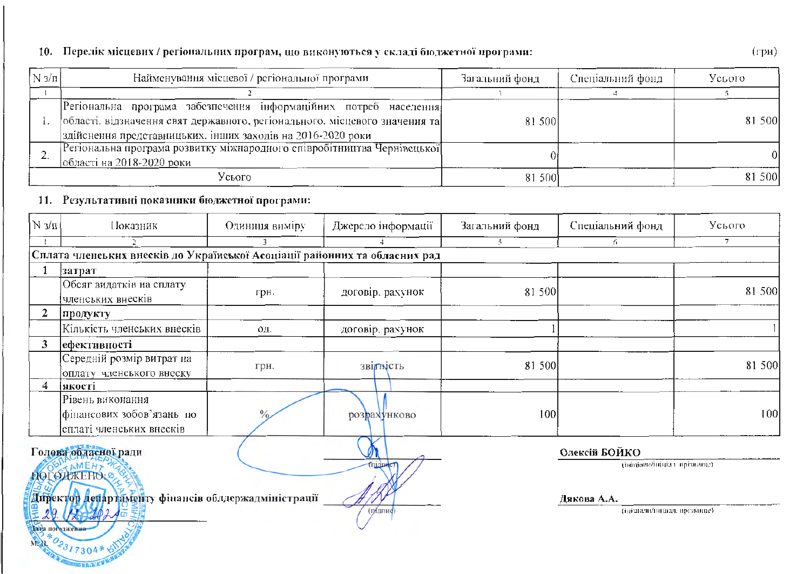# 10. Перелік місцевих / регіональних програм, що виконуються у складі бюджетної програми:

| $\lfloor N \frac{3}{\pi} \rfloor$ | Найменування місцевої / регіональної програми                                                                                                                                                                   | Загальний фонд | Спеціальний фонд- | Усього |
|-----------------------------------|-----------------------------------------------------------------------------------------------------------------------------------------------------------------------------------------------------------------|----------------|-------------------|--------|
|                                   |                                                                                                                                                                                                                 |                |                   |        |
|                                   | Регіональна програма забезпечення інформаційних потреб населення<br>[області, відзначення свят державного, регіонального, місцевого значення та]<br>здійснення представницьких, інших заходів на 2016-2020 роки | 81 500         |                   | 81 500 |
|                                   | [Регіональна програма розвитку міжнародного співробітництва Чернівецької]<br>області на 2018-2020 роки                                                                                                          |                |                   |        |
|                                   | Усього                                                                                                                                                                                                          | 81 500         |                   | 81 500 |

# 11. Результативні показники бюджетної програми:

**DESCRIPTION** 

| $N_3/\pi$ | і Іоказник                                                                 | Одиниця виміру | Джерело інформації | Загальний фонд | Спеціальний фонд             | Усього |
|-----------|----------------------------------------------------------------------------|----------------|--------------------|----------------|------------------------------|--------|
|           | 2                                                                          |                |                    | Š.             | 6                            | 7.     |
|           | Сплата членських внесків до Української Асоціації районних та обласних рад |                |                    |                |                              |        |
|           | затрат                                                                     |                |                    |                |                              |        |
|           | Обсяг видатків на сплату<br>членських внесків                              | грн.           | договір, рахунок   | 81 500         |                              | 81 500 |
| 2         | продукту                                                                   |                |                    |                |                              |        |
|           | Кількість членських внесків                                                | ΟД.            | договір, рахунок   |                |                              |        |
| 3         | ефективності                                                               |                |                    |                |                              |        |
|           | Середній розмір витрат на<br>оплату членського внеску                      | грн.           | звітність          | 81 500         |                              | 81 500 |
| 4         | якості                                                                     |                |                    |                |                              |        |
|           | Рівень виконання<br>фінансових зобов'язань по<br>сплаті членських внесків  |                | розрахунково       | 100            |                              | 100    |
|           | Голова обласної ради                                                       |                |                    |                | Олексій БОЙКО                |        |
|           | <b>TAMEH<sub>7</sub></b><br>ПОГОДЖЕНО.                                     |                | TUJUHC             |                | (ініціали/ініціа) прізвище)  |        |
|           | Директор департаменту фінансів облдержадміністрації                        |                |                    |                | Дякова А.А.                  |        |
|           | E29.02729240<br>AND norton actions                                         |                | (рідпиф)           |                | (ініціали/інциал. прізвище). |        |

 $(rph)$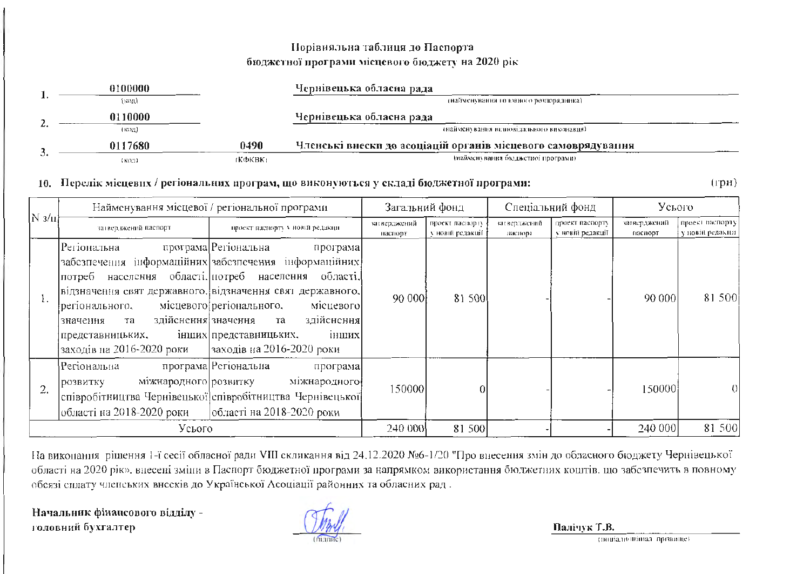# Порівняльна таблиця до Паспорта бюджетної програми місцевого бюджету на 2020 рік

|         | 0100000 |          | Чернівецька обласна рада                                      |
|---------|---------|----------|---------------------------------------------------------------|
|         | (код).  |          | (найменувания головного резпорядника)                         |
|         | 0110000 |          | Чернівецька обласна рада                                      |
| <b></b> | (код)   |          | - (найменувания видновідального виконавця).                   |
|         | 0117680 | 0490     | Членські внески до асоціацій органів місцевого самоврядування |
| ິ       | (KO2)   | ткфквк). | тнайменування бюджетної програми).                            |

### 10. Перелік місцевих / регіональних програм, що виконуються у складі бюджетної програми:

 $(\text{rph})$ 

| $N \frac{3}{\mu}$ | Найменування місцевої / регіональної програми                                                                                                                            |                                                                                                                                                                                                                                                                                                     | Загальний фонд          |                                     | Спеціальний фонд        |                                      | Усього                  |                                     |
|-------------------|--------------------------------------------------------------------------------------------------------------------------------------------------------------------------|-----------------------------------------------------------------------------------------------------------------------------------------------------------------------------------------------------------------------------------------------------------------------------------------------------|-------------------------|-------------------------------------|-------------------------|--------------------------------------|-------------------------|-------------------------------------|
|                   | затвер, вкений паспорт                                                                                                                                                   | проект наспорту у новій редакци-                                                                                                                                                                                                                                                                    | затверджений<br>наснорт | проект паснорту<br>у новій редакції | затверджений<br>наспорт | проект паспорту<br>у новій редакції. | затверджений<br>паснорт | проект наспорту<br>у повій редакци- |
| l.                | Регіональна<br>населення області. потреб населення<br>потреб<br>регіонального,<br>здійснення значення<br>та<br>значення<br>представницьких,<br>заходів на 2016-2020 роки | програма Perionaльна<br>програма<br>забезпечення інформаційних забезпечення інформаційних<br>області.<br> відзначення свят державного. відзначення свят державного. <br>місцевого регіонального,<br>місцевого]<br>здійснення]<br>та<br>інших<br>інших представницьких,<br>заходів на 2016-2020 роки | 90 000                  | 81 500                              |                         |                                      | 90 000                  | 81 500                              |
| 2.                | Perionaльна<br>міжнародного розвитку<br>розвитку<br>області на 2018-2020 роки                                                                                            | програма Регіональна<br>програма<br>міжнародного<br>співробітництва Чернівецької співробітництва Чернівецької<br> області на 2018-2020 роки                                                                                                                                                         | 150000                  |                                     |                         |                                      | 150000                  |                                     |
|                   | Усього                                                                                                                                                                   |                                                                                                                                                                                                                                                                                                     | 240 000                 | 81 500                              |                         |                                      | 240 000                 | 81 500                              |

На викопання рішення 1-ї сесії обласної ради VIII скликання від 24.12.2020 №6-1/20 "Про внесення змін до обласного бюджету Чернівецької області на 2020 рік», внесені зміни в Паспорт бюджетної програми за напрямком використання бюджетних коштів, що забезпечить в повному обсязі сплату членських внесків до Української Асоціації районних та обласних рад.

Начальник фінансового відділу головний бухгалтер

Палічук Т.В.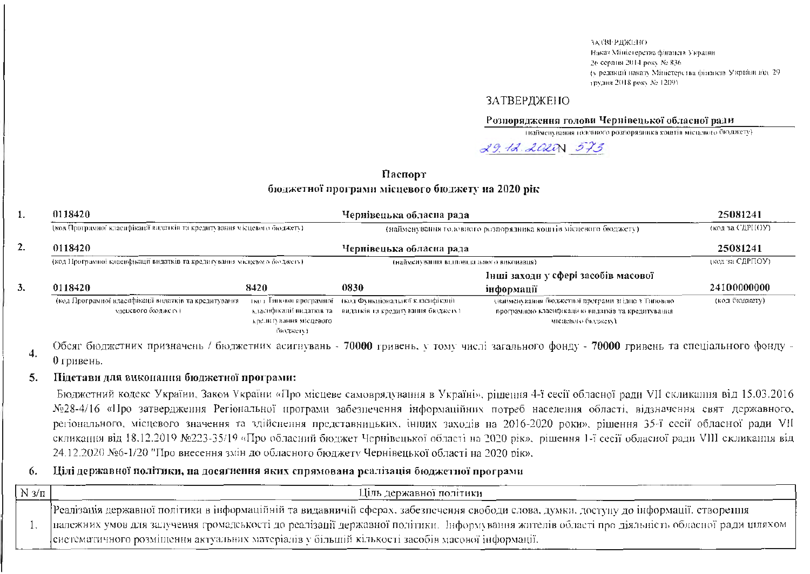ЗАТВЕРДЖЕНО-Наказ Міністерства фінансів України 26 серпня 2014 року № 836. ty редакції наказу Міністерства фінансів України від. 29трудня 2018 року № 1209).

### **ЗАТВЕРДЖЕНО**

### Розпорядження голови Чернівецької обласної ради

(найменувания годовного розпорядника коштів місцевого бюджету)

29.12.2020 573

## Паспорт бюджетної програми місцевого бюджету на 2020 рік

| 1. | 0118420<br>Чернівецька обласна рада                                                  |                        |                                                                 |                                                    | 25081241      |  |
|----|--------------------------------------------------------------------------------------|------------------------|-----------------------------------------------------------------|----------------------------------------------------|---------------|--|
|    | (код Програмної класифікації видатків та кредитування місцевого бюджету).<br>0118420 |                        | (найменування головного розпорядника коштів місцевого бюджету). | (код за СДРНОУ)<br>25081241                        |               |  |
| 2. |                                                                                      |                        | Чернівецька обласна рада                                        |                                                    |               |  |
|    | (код Програмної класифікації видатків та кредитування місцевого бюджету).            |                        | (найменувания выповцы плюто виконавця).                         | (код за СДРПОУ)                                    |               |  |
|    |                                                                                      |                        |                                                                 | Інші заходи у сфері засобів масової                |               |  |
| 3. | 0118420                                                                              | 8420                   | 0830                                                            | інформації                                         | 24100000000   |  |
|    | (код Програмної класифікації видатків та кредитування                                |                        | тко і Гипової програмної - (код Функціональної класифікації -   | (найменування бюджетної програми згідно з Типовою- | (код бюджету) |  |
|    | мисцевого бюлжету).                                                                  |                        | класификації видатків та - видатків та кредитування бюджету).   | програмною класифікацією видатків та кредитування  |               |  |
|    |                                                                                      | кредигування місцевого |                                                                 | місцевого бюджету).                                |               |  |
|    |                                                                                      | - ดิหนาวลง เพา         |                                                                 |                                                    |               |  |

Обсяг бюджетних призначень / бюджетних асигнувань - 70000 гривень, у тому числі загального фонду - 70000 гривень та спеціального фонду -4. 0 гривень.

#### Підстави для виконання бюджетної програми: 5.

Бюджетний кодекс України, Закон України «Про місцеве самоврядування в Україні», рішення 4-ї сесії обласної ради VII скликання від 15.03.2016 №28-4/16 «Про затвердження Регіональної програми забезпечення інформаційних потреб населення області, відзначення свят державного, регіонального, місцевого значення та здійспення представницьких, інших заходів на 2016-2020 роки», рішення 35-ї сесії обласної ради VII скликання від 18.12.2019 №223-35/19 «Про обласний бюджет Чернівецької області на 2020 рік», рішення 1-ї сесії обласної ради VIII скликання від 24.12.2020 №6-1/20 "Про внесення змін до обласного бюлжету Чернівецької області на 2020 рік».

### Цілі державної політики, на досягнення яких спрямована реалізація бюджетної програми 6.

| $N \frac{3}{\Pi}$ | Ціль державної політики                                                                                                                                                                                                                                                                                                                                                                         |
|-------------------|-------------------------------------------------------------------------------------------------------------------------------------------------------------------------------------------------------------------------------------------------------------------------------------------------------------------------------------------------------------------------------------------------|
|                   | Реалізація державної політики в інформаційній та видавничій сферах, забезпечення свободи слова, думки, доступу до інформації, створення<br>- належних умов для залучення громадськості до реалізації державної політики. Інформування жителів області про діяльність обласної ради шляхом -<br>[систематичного розміщення актуальних матеріалів у більшій кількості засобів масової інформації. |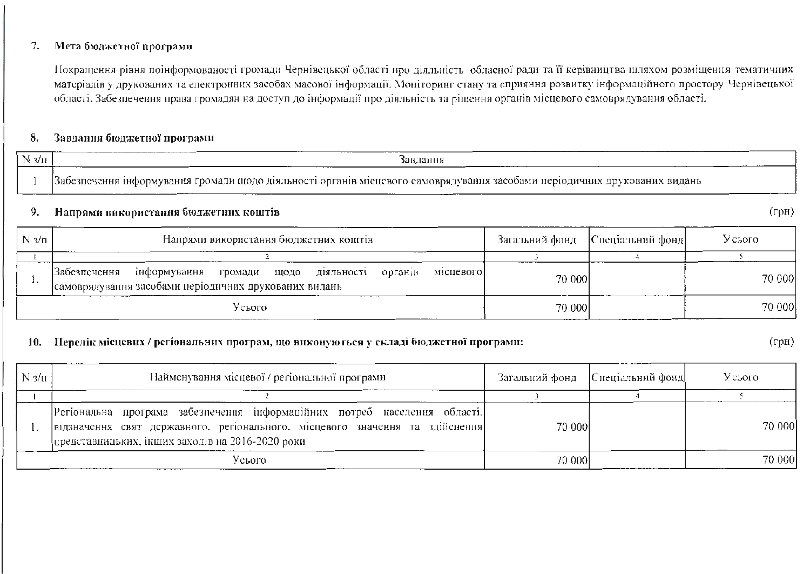#### Мета бюджетної програми 7.

Покращення рівня поінформованості громади Чернівецької області про діяльність обласної ради та її керівництва шляхом розміщення тематичних матеріалів у друкованих та електронних засобах масової інформації. Моніторинг стану та сприяння розвитку інформаційного простору Чернівецької області. Забезпечення права громадян на доступ до інформації про діяльність та рішення органів місцевого самоврядування області.

#### Завдання бюджетної програми 8.

| $N_{3/11}$ | завлання                                                                                                                  |                           |
|------------|---------------------------------------------------------------------------------------------------------------------------|---------------------------|
|            | Забезпечення інформування громади щодо діяльності органів місцевого самоврядування засобами періодичних друкованих видань |                           |
|            | Напрями використання бюджетних коштів                                                                                     | $'$ $\Gamma$ p $\rm{H}$ ) |

### Напрями використання бюджетних коштів 9.

| $N_{3/n}$ | Напрями використання бюджетних коштів                                                                                     | Спеціальний фонд<br>Загальний фонд |        | Усього |        |
|-----------|---------------------------------------------------------------------------------------------------------------------------|------------------------------------|--------|--------|--------|
|           |                                                                                                                           |                                    |        |        |        |
|           | інформування громади щодо діяльності<br> Забезпечення<br>органів<br>самоврядування засобами періодичних друкованих видань | місцевого                          | 70 000 |        | 70 000 |
| Усього    |                                                                                                                           |                                    | 70 000 |        | 70 000 |

### 10. Перелік місцевих / регіональних програм, що виконуються у складі бюджетної програми:

 $(\text{rph})$ 

| $N_{3/H}$<br>Найменування місцевої / регіональної програми |                                                                                                                                                                                                               | Загальний фонд | [Спеціальний фонд] | Усього |  |
|------------------------------------------------------------|---------------------------------------------------------------------------------------------------------------------------------------------------------------------------------------------------------------|----------------|--------------------|--------|--|
|                                                            |                                                                                                                                                                                                               |                |                    |        |  |
|                                                            | Регіональна програма забезнечення інформаційних потреб населення області.<br>відзначення свят державного, регіонального, місцевого значення та здійснення<br>представницьких, інших заходів на 2016-2020 роки | 70 000         |                    | 70 000 |  |
| Усього                                                     |                                                                                                                                                                                                               | 70 000         |                    | 70 000 |  |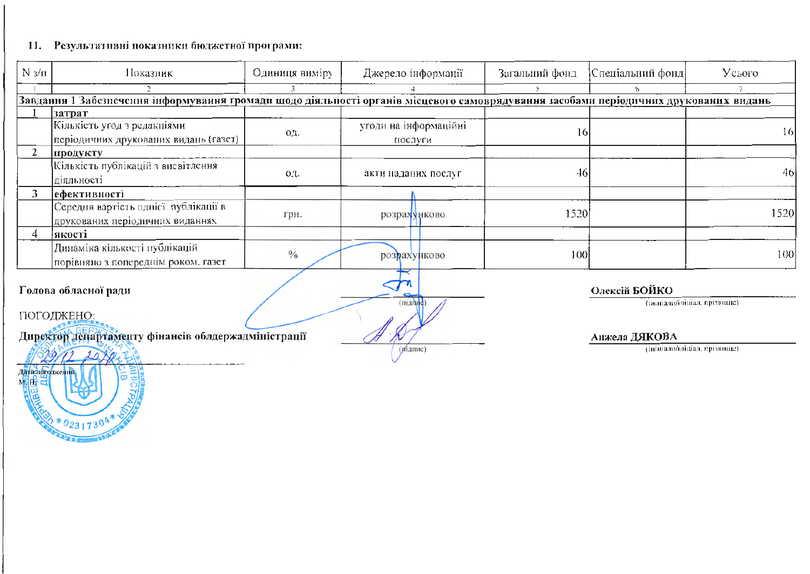# 11. Результативні показники бюджетної програми:

 $2*02317304$ 

| $N_{3}/\pi$                | Показник                                                                                                                             | Одиниця виміру | Джерело інформації               | Загальний фонд | Спеціальний фонд | Усього                       |  |  |
|----------------------------|--------------------------------------------------------------------------------------------------------------------------------------|----------------|----------------------------------|----------------|------------------|------------------------------|--|--|
|                            |                                                                                                                                      |                |                                  |                | 6.               |                              |  |  |
|                            | Завдання 1 Забезиечення інформування громади шодо діяльності органів місцевого самоврядування засобами періодичних друкованнх видань |                |                                  |                |                  |                              |  |  |
|                            | затрат<br>Кількість угод з редакціями<br>періодичних друкованих видань (газет)                                                       | OД.            | угоди на інформаційні<br>послуги | 16             |                  | 16                           |  |  |
|                            | продукту                                                                                                                             |                |                                  |                |                  |                              |  |  |
|                            | Кількість публікацій з висвітлення<br>діяльності                                                                                     | O.T.           | акти наданих послуг              | 46             |                  | 40,                          |  |  |
| 3                          | ефективності                                                                                                                         |                |                                  |                |                  |                              |  |  |
|                            | Середня вартість однісї публікації в<br>друкованих періодичних виданнях                                                              | грн.           | розрахунково                     | 1520           |                  | 1520                         |  |  |
| 4                          | якості                                                                                                                               |                |                                  |                |                  |                              |  |  |
|                            | Динаміка кількості публікацій<br>порівняло з попереднім роком, газет                                                                 | $\frac{0}{0}$  | розрахунково                     | 100            |                  | 100                          |  |  |
|                            | Олексій БОЙКО<br>Голова обласної ради                                                                                                |                |                                  |                |                  |                              |  |  |
|                            | (ініціали/ініціал, прізвище)<br>(nianud)<br>ПОГОДЖЕНО:                                                                               |                |                                  |                |                  |                              |  |  |
|                            | Директор департаменту фінансів облдержадміністрації                                                                                  |                |                                  |                | Анжела ДЯКОВА    |                              |  |  |
|                            |                                                                                                                                      |                | (Mi)                             |                |                  | (ininianu/minian, apissonne) |  |  |
| Даталоголжения<br>MHH<br>晨 | <b>TAL</b>                                                                                                                           |                |                                  |                |                  |                              |  |  |